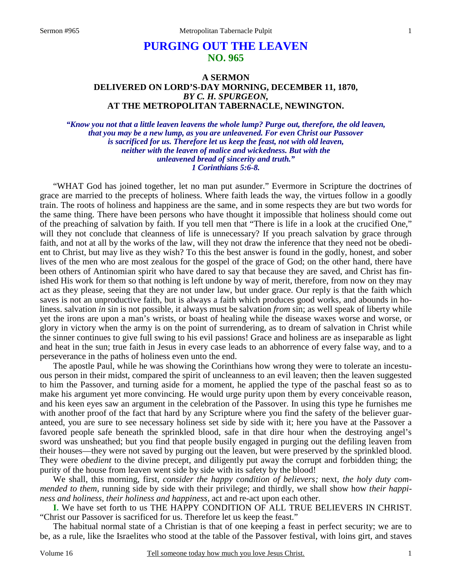# **PURGING OUT THE LEAVEN NO. 965**

# **A SERMON DELIVERED ON LORD'S-DAY MORNING, DECEMBER 11, 1870,** *BY C. H. SPURGEON,*  **AT THE METROPOLITAN TABERNACLE, NEWINGTON.**

*"Know you not that a little leaven leavens the whole lump? Purge out, therefore, the old leaven, that you may be a new lump, as you are unleavened. For even Christ our Passover is sacrificed for us. Therefore let us keep the feast, not with old leaven, neither with the leaven of malice and wickedness. But with the unleavened bread of sincerity and truth." 1 Corinthians 5:6-8.* 

"WHAT God has joined together, let no man put asunder." Evermore in Scripture the doctrines of grace are married to the precepts of holiness. Where faith leads the way, the virtues follow in a goodly train. The roots of holiness and happiness are the same, and in some respects they are but two words for the same thing. There have been persons who have thought it impossible that holiness should come out of the preaching of salvation by faith. If you tell men that "There is life in a look at the crucified One," will they not conclude that cleanness of life is unnecessary? If you preach salvation by grace through faith, and not at all by the works of the law, will they not draw the inference that they need not be obedient to Christ, but may live as they wish? To this the best answer is found in the godly, honest, and sober lives of the men who are most zealous for the gospel of the grace of God; on the other hand, there have been others of Antinomian spirit who have dared to say that because they are saved, and Christ has finished His work for them so that nothing is left undone by way of merit, therefore, from now on they may act as they please, seeing that they are not under law, but under grace. Our reply is that the faith which saves is not an unproductive faith, but is always a faith which produces good works, and abounds in holiness. salvation *in* sin is not possible, it always must be salvation *from* sin; as well speak of liberty while yet the irons are upon a man's wrists, or boast of healing while the disease waxes worse and worse, or glory in victory when the army is on the point of surrendering, as to dream of salvation in Christ while the sinner continues to give full swing to his evil passions! Grace and holiness are as inseparable as light and heat in the sun; true faith in Jesus in every case leads to an abhorrence of every false way, and to a perseverance in the paths of holiness even unto the end.

The apostle Paul, while he was showing the Corinthians how wrong they were to tolerate an incestuous person in their midst, compared the spirit of uncleanness to an evil leaven; then the leaven suggested to him the Passover, and turning aside for a moment, he applied the type of the paschal feast so as to make his argument yet more convincing. He would urge purity upon them by every conceivable reason, and his keen eyes saw an argument in the celebration of the Passover. In using this type he furnishes me with another proof of the fact that hard by any Scripture where you find the safety of the believer guaranteed, you are sure to see necessary holiness set side by side with it; here you have at the Passover a favored people safe beneath the sprinkled blood, safe in that dire hour when the destroying angel's sword was unsheathed; but you find that people busily engaged in purging out the defiling leaven from their houses—they were not saved by purging out the leaven, but were preserved by the sprinkled blood. They were *obedient* to the divine precept, and diligently put away the corrupt and forbidden thing; the purity of the house from leaven went side by side with its safety by the blood!

We shall, this morning, first, *consider the happy condition of believers;* next, *the holy duty commended to them,* running side by side with their privilege; and thirdly, we shall show how *their happiness and holiness, their holiness and happiness,* act and re-act upon each other.

**I.** We have set forth to us THE HAPPY CONDITION OF ALL TRUE BELIEVERS IN CHRIST. "Christ our Passover is sacrificed for us. Therefore let us keep the feast."

The habitual normal state of a Christian is that of one keeping a feast in perfect security; we are to be, as a rule, like the Israelites who stood at the table of the Passover festival, with loins girt, and staves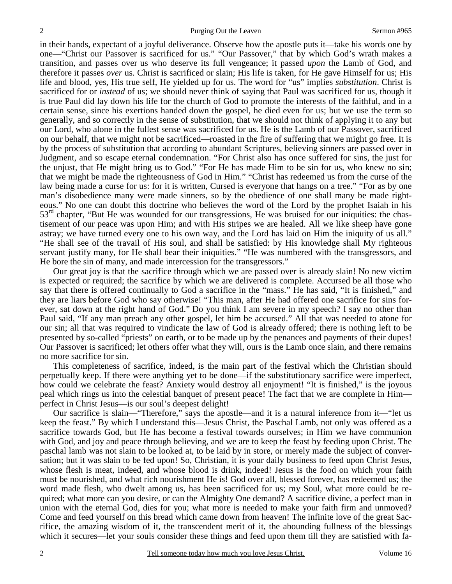in their hands, expectant of a joyful deliverance. Observe how the apostle puts it—take his words one by one—"Christ our Passover is sacrificed for us." "Our Passover," that by which God's wrath makes a transition, and passes over us who deserve its full vengeance; it passed *upon* the Lamb of God, and therefore it passes *over* us. Christ is sacrificed or slain; His life is taken, for He gave Himself for us; His life and blood, yes, His true self, He yielded up for us. The word for "us" implies *substitution*. Christ is sacrificed for or *instead* of us; we should never think of saying that Paul was sacrificed for us, though it is true Paul did lay down his life for the church of God to promote the interests of the faithful, and in a certain sense, since his exertions handed down the gospel, he died even for us; but we use the term so generally, and so correctly in the sense of substitution, that we should not think of applying it to any but our Lord, who alone in the fullest sense was sacrificed for us. He is the Lamb of our Passover, sacrificed on our behalf, that we might not be sacrificed—roasted in the fire of suffering that we might go free. It is by the process of substitution that according to abundant Scriptures, believing sinners are passed over in Judgment, and so escape eternal condemnation. "For Christ also has once suffered for sins, the just for the unjust, that He might bring us to God." "For He has made Him to be sin for us, who knew no sin; that we might be made the righteousness of God in Him." "Christ has redeemed us from the curse of the law being made a curse for us: for it is written, Cursed is everyone that hangs on a tree." "For as by one man's disobedience many were made sinners, so by the obedience of one shall many be made righteous." No one can doubt this doctrine who believes the word of the Lord by the prophet Isaiah in his  $53<sup>rd</sup>$  chapter, "But He was wounded for our transgressions, He was bruised for our iniquities: the chastisement of our peace was upon Him; and with His stripes we are healed. All we like sheep have gone astray; we have turned every one to his own way, and the Lord has laid on Him the iniquity of us all." "He shall see of the travail of His soul, and shall be satisfied: by His knowledge shall My righteous servant justify many, for He shall bear their iniquities." "He was numbered with the transgressors, and He bore the sin of many, and made intercession for the transgressors."

Our great joy is that the sacrifice through which we are passed over is already slain! No new victim is expected or required; the sacrifice by which we are delivered is complete. Accursed be all those who say that there is offered continually to God a sacrifice in the "mass." He has said, "It is finished," and they are liars before God who say otherwise! "This man, after He had offered one sacrifice for sins forever, sat down at the right hand of God." Do you think I am severe in my speech? I say no other than Paul said, "If any man preach any other gospel, let him be accursed." All that was needed to atone for our sin; all that was required to vindicate the law of God is already offered; there is nothing left to be presented by so-called "priests" on earth, or to be made up by the penances and payments of their dupes! Our Passover is sacrificed; let others offer what they will, ours is the Lamb once slain, and there remains no more sacrifice for sin.

This completeness of sacrifice, indeed, is the main part of the festival which the Christian should perpetually keep. If there were anything yet to be done—if the substitutionary sacrifice were imperfect, how could we celebrate the feast? Anxiety would destroy all enjoyment! "It is finished," is the joyous peal which rings us into the celestial banquet of present peace! The fact that we are complete in Him perfect in Christ Jesus—is our soul's deepest delight!

Our sacrifice is slain—"Therefore," says the apostle—and it is a natural inference from it—"let us keep the feast." By which I understand this—Jesus Christ, the Paschal Lamb, not only was offered as a sacrifice towards God, but He has become a festival towards ourselves; in Him we have communion with God, and joy and peace through believing, and we are to keep the feast by feeding upon Christ. The paschal lamb was not slain to be looked at, to be laid by in store, or merely made the subject of conversation; but it was slain to be fed upon! So, Christian, it is your daily business to feed upon Christ Jesus, whose flesh is meat, indeed, and whose blood is drink, indeed! Jesus is the food on which your faith must be nourished, and what rich nourishment He is! God over all, blessed forever, has redeemed us; the word made flesh, who dwelt among us, has been sacrificed for us; my Soul, what more could be required; what more can you desire, or can the Almighty One demand? A sacrifice divine, a perfect man in union with the eternal God, dies for you; what more is needed to make your faith firm and unmoved? Come and feed yourself on this bread which came down from heaven! The infinite love of the great Sacrifice, the amazing wisdom of it, the transcendent merit of it, the abounding fullness of the blessings which it secures—let your souls consider these things and feed upon them till they are satisfied with fa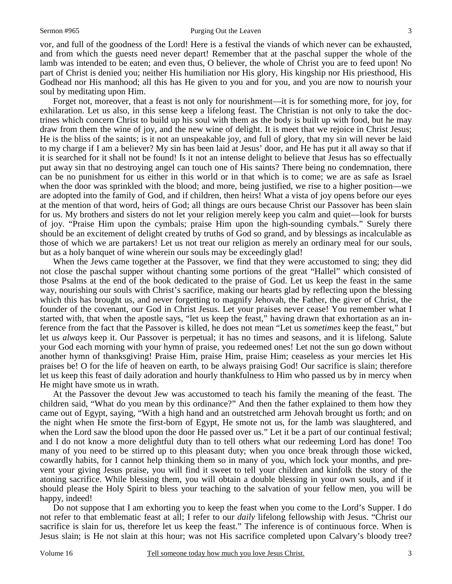vor, and full of the goodness of the Lord! Here is a festival the viands of which never can be exhausted, and from which the guests need never depart! Remember that at the paschal supper the whole of the lamb was intended to be eaten; and even thus, O believer, the whole of Christ you are to feed upon! No part of Christ is denied you; neither His humiliation nor His glory, His kingship nor His priesthood, His Godhead nor His manhood; all this has He given to you and for you, and you are now to nourish your soul by meditating upon Him.

Forget not, moreover, that a feast is not only for nourishment—it is for something more, for joy, for exhilaration. Let us also, in this sense keep a lifelong feast. The Christian is not only to take the doctrines which concern Christ to build up his soul with them as the body is built up with food, but he may draw from them the wine of joy, and the new wine of delight. It is meet that we rejoice in Christ Jesus; He is the bliss of the saints; is it not an unspeakable joy, and full of glory, that my sin will never be laid to my charge if I am a believer? My sin has been laid at Jesus' door, and He has put it all away so that if it is searched for it shall not be found! Is it not an intense delight to believe that Jesus has so effectually put away sin that no destroying angel can touch one of His saints? There being no condemnation, there can be no punishment for us either in this world or in that which is to come; we are as safe as Israel when the door was sprinkled with the blood; and more, being justified, we rise to a higher position—we are adopted into the family of God, and if children, then heirs! What a vista of joy opens before our eyes at the mention of that word, heirs of God; all things are ours because Christ our Passover has been slain for us. My brothers and sisters do not let your religion merely keep you calm and quiet—look for bursts of joy. "Praise Him upon the cymbals; praise Him upon the high-sounding cymbals." Surely there should be an excitement of delight created by truths of God so grand, and by blessings as incalculable as those of which we are partakers! Let us not treat our religion as merely an ordinary meal for our souls, but as a holy banquet of wine wherein our souls may be exceedingly glad!

When the Jews came together at the Passover, we find that they were accustomed to sing; they did not close the paschal supper without chanting some portions of the great "Hallel" which consisted of those Psalms at the end of the book dedicated to the praise of God. Let us keep the feast in the same way, nourishing our souls with Christ's sacrifice, making our hearts glad by reflecting upon the blessing which this has brought us, and never forgetting to magnify Jehovah, the Father, the giver of Christ, the founder of the covenant, our God in Christ Jesus. Let your praises never cease! You remember what I started with, that when the apostle says, "let us keep the feast," having drawn that exhortation as an inference from the fact that the Passover is killed, he does not mean "Let us *sometimes* keep the feast," but let us *always* keep it. Our Passover is perpetual; it has no times and seasons, and it is lifelong. Salute your God each morning with your hymn of praise, you redeemed ones! Let not the sun go down without another hymn of thanksgiving! Praise Him, praise Him, praise Him; ceaseless as your mercies let His praises be! O for the life of heaven on earth, to be always praising God! Our sacrifice is slain; therefore let us keep this feast of daily adoration and hourly thankfulness to Him who passed us by in mercy when He might have smote us in wrath.

At the Passover the devout Jew was accustomed to teach his family the meaning of the feast. The children said, "What do you mean by this ordinance?" And then the father explained to them how they came out of Egypt, saying, "With a high hand and an outstretched arm Jehovah brought us forth; and on the night when He smote the first-born of Egypt, He smote not us, for the lamb was slaughtered, and when the Lord saw the blood upon the door He passed over us." Let it be a part of our continual festival; and I do not know a more delightful duty than to tell others what our redeeming Lord has done! Too many of you need to be stirred up to this pleasant duty; when you once break through those wicked, cowardly habits, for I cannot help thinking them so in many of you, which lock your months, and prevent your giving Jesus praise, you will find it sweet to tell your children and kinfolk the story of the atoning sacrifice. While blessing them, you will obtain a double blessing in your own souls, and if it should please the Holy Spirit to bless your teaching to the salvation of your fellow men, you will be happy, indeed!

Do not suppose that I am exhorting you to keep the feast when you come to the Lord's Supper. I do not refer to that emblematic feast at all; I refer to our *daily* lifelong fellowship with Jesus. "Christ our sacrifice is slain for us, therefore let us keep the feast." The inference is of continuous force. When is Jesus slain; is He not slain at this hour; was not His sacrifice completed upon Calvary's bloody tree?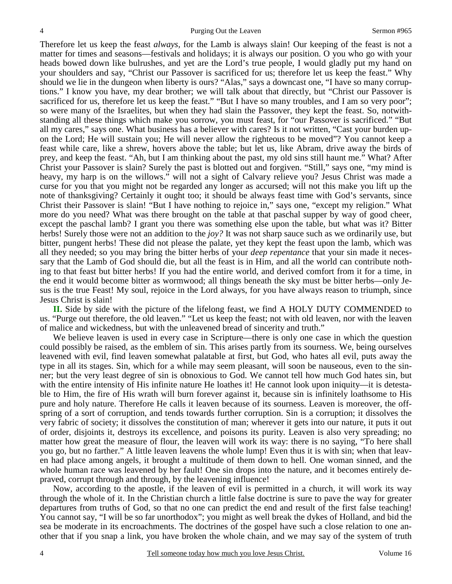Therefore let us keep the feast *always,* for the Lamb is always slain! Our keeping of the feast is not a matter for times and seasons—festivals and holidays; it is always our position. O you who go with your heads bowed down like bulrushes, and yet are the Lord's true people, I would gladly put my hand on your shoulders and say, "Christ our Passover is sacrificed for us; therefore let us keep the feast." Why should we lie in the dungeon when liberty is ours? "Alas," says a downcast one, "I have so many corruptions." I know you have, my dear brother; we will talk about that directly, but "Christ our Passover is sacrificed for us, therefore let us keep the feast." "But I have so many troubles, and I am so very poor"; so were many of the Israelites, but when they had slain the Passover, they kept the feast. So, notwithstanding all these things which make you sorrow, you must feast, for "our Passover is sacrificed." "But all my cares," says one. What business has a believer with cares? Is it not written, "Cast your burden upon the Lord; He will sustain you; He will never allow the righteous to be moved"? You cannot keep a feast while care, like a shrew, hovers above the table; but let us, like Abram, drive away the birds of prey, and keep the feast. "Ah, but I am thinking about the past, my old sins still haunt me." What? After Christ your Passover is slain? Surely the past is blotted out and forgiven. "Still," says one, "my mind is heavy, my harp is on the willows." will not a sight of Calvary relieve you? Jesus Christ was made a curse for you that you might not be regarded any longer as accursed; will not this make you lift up the note of thanksgiving? Certainly it ought too; it should be always feast time with God's servants, since Christ their Passover is slain! "But I have nothing to rejoice in," says one, "except my religion." What more do you need? What was there brought on the table at that paschal supper by way of good cheer, except the paschal lamb? I grant you there was something else upon the table, but what was it? Bitter herbs! Surely those were not an addition to the *joy?* It was not sharp sauce such as we ordinarily use, but bitter, pungent herbs! These did not please the palate, yet they kept the feast upon the lamb, which was all they needed; so you may bring the bitter herbs of your *deep repentance* that your sin made it necessary that the Lamb of God should die, but all the feast is in Him, and all the world can contribute nothing to that feast but bitter herbs! If you had the entire world, and derived comfort from it for a time, in the end it would become bitter as wormwood; all things beneath the sky must be bitter herbs—only Jesus is the true Feast! My soul, rejoice in the Lord always, for you have always reason to triumph, since Jesus Christ is slain!

**II.** Side by side with the picture of the lifelong feast, we find A HOLY DUTY COMMENDED to us. "Purge out therefore, the old leaven." "Let us keep the feast; not with old leaven, nor with the leaven of malice and wickedness, but with the unleavened bread of sincerity and truth."

We believe leaven is used in every case in Scripture—there is only one case in which the question could possibly be raised, as the emblem of sin. This arises partly from its sourness. We, being ourselves leavened with evil, find leaven somewhat palatable at first, but God, who hates all evil, puts away the type in all its stages. Sin, which for a while may seem pleasant, will soon be nauseous, even to the sinner; but the very least degree of sin is obnoxious to God. We cannot tell how much God hates sin, but with the entire intensity of His infinite nature He loathes it! He cannot look upon iniquity—it is detestable to Him, the fire of His wrath will burn forever against it, because sin is infinitely loathsome to His pure and holy nature. Therefore He calls it leaven because of its sourness. Leaven is moreover, the offspring of a sort of corruption, and tends towards further corruption. Sin is a corruption; it dissolves the very fabric of society; it dissolves the constitution of man; wherever it gets into our nature, it puts it out of order, disjoints it, destroys its excellence, and poisons its purity. Leaven is also very spreading; no matter how great the measure of flour, the leaven will work its way: there is no saying, "To here shall you go, but no farther." A little leaven leavens the whole lump! Even thus it is with sin; when that leaven had place among angels, it brought a multitude of them down to hell. One woman sinned, and the whole human race was leavened by her fault! One sin drops into the nature, and it becomes entirely depraved, corrupt through and through, by the leavening influence!

Now, according to the apostle, if the leaven of evil is permitted in a church, it will work its way through the whole of it. In the Christian church a little false doctrine is sure to pave the way for greater departures from truths of God, so that no one can predict the end and result of the first false teaching! You cannot say, "I will be so far unorthodox"; you might as well break the dykes of Holland, and bid the sea be moderate in its encroachments. The doctrines of the gospel have such a close relation to one another that if you snap a link, you have broken the whole chain, and we may say of the system of truth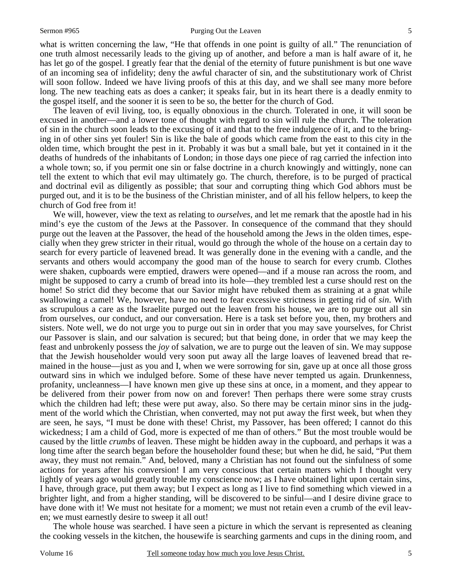#### Sermon #965 Purging Out the Leaven

what is written concerning the law, "He that offends in one point is guilty of all." The renunciation of one truth almost necessarily leads to the giving up of another, and before a man is half aware of it, he has let go of the gospel. I greatly fear that the denial of the eternity of future punishment is but one wave of an incoming sea of infidelity; deny the awful character of sin, and the substitutionary work of Christ will soon follow. Indeed we have living proofs of this at this day, and we shall see many more before long. The new teaching eats as does a canker; it speaks fair, but in its heart there is a deadly enmity to the gospel itself, and the sooner it is seen to be so, the better for the church of God.

The leaven of evil living, too, is equally obnoxious in the church. Tolerated in one, it will soon be excused in another—and a lower tone of thought with regard to sin will rule the church. The toleration of sin in the church soon leads to the excusing of it and that to the free indulgence of it, and to the bringing in of other sins yet fouler! Sin is like the bale of goods which came from the east to this city in the olden time, which brought the pest in it. Probably it was but a small bale, but yet it contained in it the deaths of hundreds of the inhabitants of London; in those days one piece of rag carried the infection into a whole town; so, if you permit one sin or false doctrine in a church knowingly and wittingly, none can tell the extent to which that evil may ultimately go. The church, therefore, is to be purged of practical and doctrinal evil as diligently as possible; that sour and corrupting thing which God abhors must be purged out, and it is to be the business of the Christian minister, and of all his fellow helpers, to keep the church of God free from it!

We will, however, view the text as relating to *ourselves*, and let me remark that the apostle had in his mind's eye the custom of the Jews at the Passover. In consequence of the command that they should purge out the leaven at the Passover, the head of the household among the Jews in the olden times, especially when they grew stricter in their ritual, would go through the whole of the house on a certain day to search for every particle of leavened bread. It was generally done in the evening with a candle, and the servants and others would accompany the good man of the house to search for every crumb. Clothes were shaken, cupboards were emptied, drawers were opened—and if a mouse ran across the room, and might be supposed to carry a crumb of bread into its hole—they trembled lest a curse should rest on the home! So strict did they become that our Savior might have rebuked them as straining at a gnat while swallowing a camel! We, however, have no need to fear excessive strictness in getting rid of *sin*. With as scrupulous a care as the Israelite purged out the leaven from his house, we are to purge out all sin from ourselves, our conduct, and our conversation. Here is a task set before you, then, my brothers and sisters. Note well, we do not urge you to purge out sin in order that you may save yourselves, for Christ our Passover is slain, and our salvation is secured; but that being done, in order that we may keep the feast and unbrokenly possess the *joy* of salvation, we are to purge out the leaven of sin. We may suppose that the Jewish householder would very soon put away all the large loaves of leavened bread that remained in the house—just as you and I, when we were sorrowing for sin, gave up at once all those gross outward sins in which we indulged before. Some of these have never tempted us again. Drunkenness, profanity, uncleanness—I have known men give up these sins at once, in a moment, and they appear to be delivered from their power from now on and forever! Then perhaps there were some stray crusts which the children had left; these were put away, also. So there may be certain minor sins in the judgment of the world which the Christian, when converted, may not put away the first week, but when they are seen, he says, "I must be done with these! Christ, my Passover, has been offered; I cannot do this wickedness; I am a child of God, more is expected of me than of others." But the most trouble would be caused by the little *crumbs* of leaven. These might be hidden away in the cupboard, and perhaps it was a long time after the search began before the householder found these; but when he did, he said, "Put them away, they must not remain." And, beloved, many a Christian has not found out the sinfulness of some actions for years after his conversion! I am very conscious that certain matters which I thought very lightly of years ago would greatly trouble my conscience now; as I have obtained light upon certain sins, I have, through grace, put them away; but I expect as long as I live to find something which viewed in a brighter light, and from a higher standing, will be discovered to be sinful—and I desire divine grace to have done with it! We must not hesitate for a moment; we must not retain even a crumb of the evil leaven; we must earnestly desire to sweep it all out!

The whole house was searched. I have seen a picture in which the servant is represented as cleaning the cooking vessels in the kitchen, the housewife is searching garments and cups in the dining room, and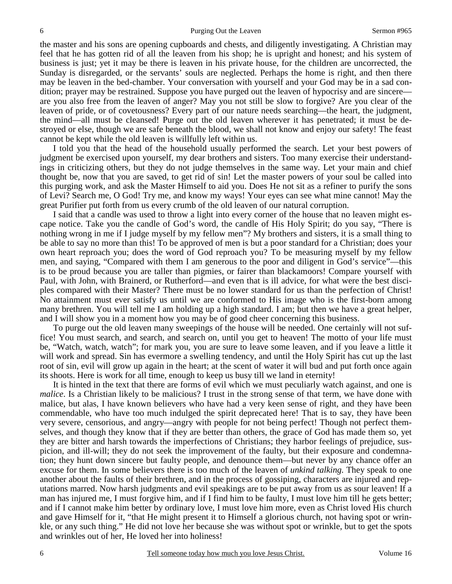the master and his sons are opening cupboards and chests, and diligently investigating. A Christian may feel that he has gotten rid of all the leaven from his shop; he is upright and honest; and his system of business is just; yet it may be there is leaven in his private house, for the children are uncorrected, the Sunday is disregarded, or the servants' souls are neglected. Perhaps the home is right, and then there may be leaven in the bed-chamber. Your conversation with yourself and your God may be in a sad condition; prayer may be restrained. Suppose you have purged out the leaven of hypocrisy and are sincere are you also free from the leaven of anger? May you not still be slow to forgive? Are you clear of the leaven of pride, or of covetousness? Every part of our nature needs searching—the heart, the judgment, the mind—all must be cleansed! Purge out the old leaven wherever it has penetrated; it must be destroyed or else, though we are safe beneath the blood, we shall not know and enjoy our safety! The feast cannot be kept while the old leaven is willfully left within us.

I told you that the head of the household usually performed the search. Let your best powers of judgment be exercised upon yourself, my dear brothers and sisters. Too many exercise their understandings in criticizing others, but they do not judge themselves in the same way. Let your main and chief thought be, now that you are saved, to get rid of sin! Let the master powers of your soul be called into this purging work, and ask the Master Himself to aid you. Does He not sit as a refiner to purify the sons of Levi? Search me, O God! Try me, and know my ways! Your eyes can see what mine cannot! May the great Purifier put forth from us every crumb of the old leaven of our natural corruption.

I said that a candle was used to throw a light into every corner of the house that no leaven might escape notice. Take you the candle of God's word, the candle of His Holy Spirit; do you say, "There is nothing wrong in me if I judge myself by my fellow men"? My brothers and sisters, it is a small thing to be able to say no more than this! To be approved of men is but a poor standard for a Christian; does your own heart reproach you; does the word of God reproach you? To be measuring myself by my fellow men, and saying, "Compared with them I am generous to the poor and diligent in God's service"—this is to be proud because you are taller than pigmies, or fairer than blackamoors! Compare yourself with Paul, with John, with Brainerd, or Rutherford—and even that is ill advice, for what were the best disciples compared with their Master? There must be no lower standard for us than the perfection of Christ! No attainment must ever satisfy us until we are conformed to His image who is the first-born among many brethren. You will tell me I am holding up a high standard. I am; but then we have a great helper, and I will show you in a moment how you may be of good cheer concerning this business.

To purge out the old leaven many sweepings of the house will be needed. One certainly will not suffice! You must search, and search, and search on, until you get to heaven! The motto of your life must be, "Watch, watch, watch"; for mark you, you are sure to leave some leaven, and if you leave a little it will work and spread. Sin has evermore a swelling tendency, and until the Holy Spirit has cut up the last root of sin, evil will grow up again in the heart; at the scent of water it will bud and put forth once again its shoots. Here is work for all time, enough to keep us busy till we land in eternity!

It is hinted in the text that there are forms of evil which we must peculiarly watch against, and one is *malice*. Is a Christian likely to be malicious? I trust in the strong sense of that term, we have done with malice, but alas, I have known believers who have had a very keen sense of right, and they have been commendable, who have too much indulged the spirit deprecated here! That is to say, they have been very severe, censorious, and angry—angry with people for not being perfect! Though not perfect themselves, and though they know that if they are better than others, the grace of God has made them so, yet they are bitter and harsh towards the imperfections of Christians; they harbor feelings of prejudice, suspicion, and ill-will; they do not seek the improvement of the faulty, but their exposure and condemnation; they hunt down sincere but faulty people, and denounce them—but never by any chance offer an excuse for them. In some believers there is too much of the leaven of *unkind talking.* They speak to one another about the faults of their brethren, and in the process of gossiping, characters are injured and reputations marred. Now harsh judgments and evil speakings are to be put away from us as sour leaven! If a man has injured me, I must forgive him, and if I find him to be faulty, I must love him till he gets better; and if I cannot make him better by ordinary love, I must love him more, even as Christ loved His church and gave Himself for it, "that He might present it to Himself a glorious church, not having spot or wrinkle, or any such thing." He did not love her because she was without spot or wrinkle, but to get the spots and wrinkles out of her, He loved her into holiness!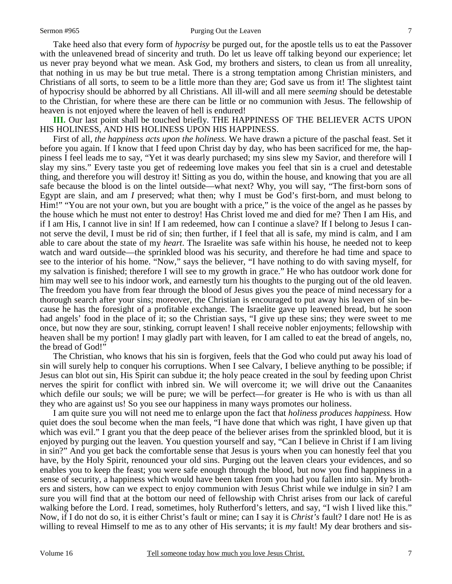#### Sermon #965 Purging Out the Leaven

Take heed also that every form of *hypocrisy* be purged out, for the apostle tells us to eat the Passover with the unleavened bread of sincerity and truth. Do let us leave off talking beyond our experience; let us never pray beyond what we mean. Ask God, my brothers and sisters, to clean us from all unreality, that nothing in us may be but true metal. There is a strong temptation among Christian ministers, and Christians of all sorts, to seem to be a little more than they are; God save us from it! The slightest taint of hypocrisy should be abhorred by all Christians. All ill-will and all mere *seeming* should be detestable to the Christian, for where these are there can be little or no communion with Jesus. The fellowship of heaven is not enjoyed where the leaven of hell is endured!

**III.** Our last point shall be touched briefly. THE HAPPINESS OF THE BELIEVER ACTS UPON HIS HOLINESS, AND HIS HOLINESS UPON HIS HAPPINESS.

First of all, *the happiness acts upon the holiness.* We have drawn a picture of the paschal feast. Set it before you again. If I know that I feed upon Christ day by day, who has been sacrificed for me, the happiness I feel leads me to say, "Yet it was dearly purchased; my sins slew my Savior, and therefore will I slay my sins." Every taste you get of redeeming love makes you feel that sin is a cruel and detestable thing, and therefore you will destroy it! Sitting as you do, within the house, and knowing that you are all safe because the blood is on the lintel outside—what next? Why, you will say, "The first-born sons of Egypt are slain, and am *I* preserved; what then; why I must be God's first-born, and must belong to Him!" "You are not your own, but you are bought with a price," is the voice of the angel as he passes by the house which he must not enter to destroy! Has Christ loved me and died for me? Then I am His, and if I am His, I cannot live in sin! If I am redeemed, how can I continue a slave? If I belong to Jesus I cannot serve the devil, I must be rid of sin; then further, if I feel that all is safe, my mind is calm, and I am able to care about the state of my *heart*. The Israelite was safe within his house, he needed not to keep watch and ward outside—the sprinkled blood was his security, and therefore he had time and space to see to the interior of his home. "Now," says the believer, "I have nothing to do with saving myself, for my salvation is finished; therefore I will see to my growth in grace." He who has outdoor work done for him may well see to his indoor work, and earnestly turn his thoughts to the purging out of the old leaven. The freedom you have from fear through the blood of Jesus gives you the peace of mind necessary for a thorough search after your sins; moreover, the Christian is encouraged to put away his leaven of sin because he has the foresight of a profitable exchange. The Israelite gave up leavened bread, but he soon had angels' food in the place of it; so the Christian says, "I give up these sins; they were sweet to me once, but now they are sour, stinking, corrupt leaven! I shall receive nobler enjoyments; fellowship with heaven shall be my portion! I may gladly part with leaven, for I am called to eat the bread of angels, no, the bread of God!"

The Christian, who knows that his sin is forgiven, feels that the God who could put away his load of sin will surely help to conquer his corruptions. When I see Calvary, I believe anything to be possible; if Jesus can blot out sin, His Spirit can subdue it; the holy peace created in the soul by feeding upon Christ nerves the spirit for conflict with inbred sin. We will overcome it; we will drive out the Canaanites which defile our souls; we will be pure; we will be perfect—for greater is He who is with us than all they who are against us! So you see our happiness in many ways promotes our holiness.

I am quite sure you will not need me to enlarge upon the fact that *holiness produces happiness.* How quiet does the soul become when the man feels, "I have done that which was right, I have given up that which was evil." I grant you that the deep peace of the believer arises from the sprinkled blood, but it is enjoyed by purging out the leaven. You question yourself and say, "Can I believe in Christ if I am living in sin?" And you get back the comfortable sense that Jesus is yours when you can honestly feel that you have, by the Holy Spirit, renounced your old sins. Purging out the leaven clears your evidences, and so enables you to keep the feast; you were safe enough through the blood, but now you find happiness in a sense of security, a happiness which would have been taken from you had you fallen into sin. My brothers and sisters, how can we expect to enjoy communion with Jesus Christ while we indulge in sin? I am sure you will find that at the bottom our need of fellowship with Christ arises from our lack of careful walking before the Lord. I read, sometimes, holy Rutherford's letters, and say, "I wish I lived like this." Now, if I do not do so, it is either Christ's fault or mine; can I say it is *Christ's* fault? I dare not! He is as willing to reveal Himself to me as to any other of His servants; it is *my* fault! My dear brothers and sis